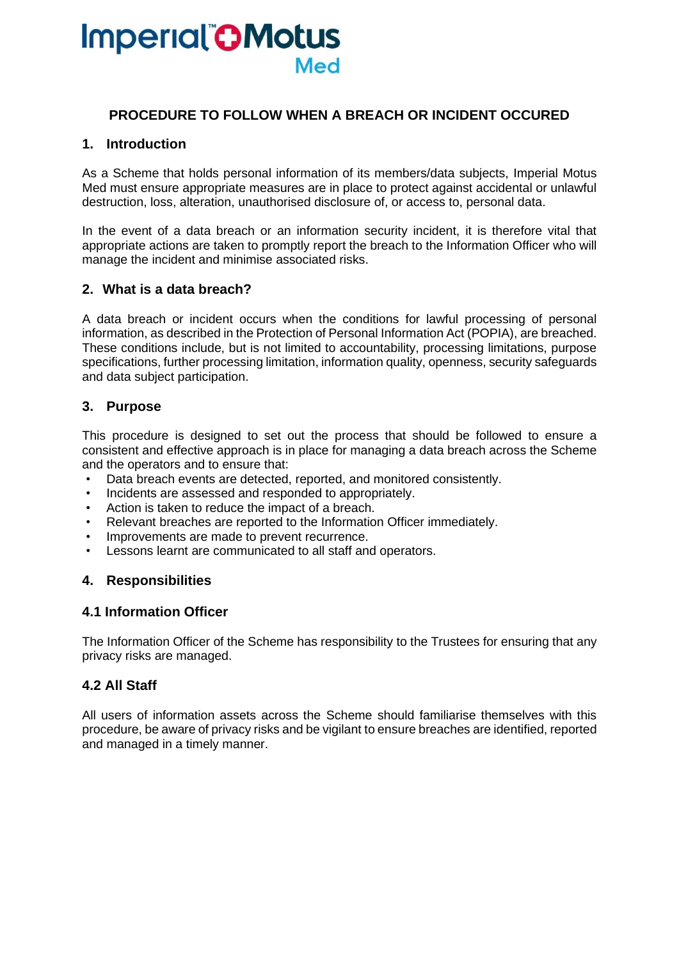# **Imperial CMotus Med**

### **PROCEDURE TO FOLLOW WHEN A BREACH OR INCIDENT OCCURED**

#### **1. Introduction**

As a Scheme that holds personal information of its members/data subjects, Imperial Motus Med must ensure appropriate measures are in place to protect against accidental or unlawful destruction, loss, alteration, unauthorised disclosure of, or access to, personal data.

In the event of a data breach or an information security incident, it is therefore vital that appropriate actions are taken to promptly report the breach to the Information Officer who will manage the incident and minimise associated risks.

#### **2. What is a data breach?**

A data breach or incident occurs when the conditions for lawful processing of personal information, as described in the Protection of Personal Information Act (POPIA), are breached. These conditions include, but is not limited to accountability, processing limitations, purpose specifications, further processing limitation, information quality, openness, security safeguards and data subject participation.

#### **3. Purpose**

This procedure is designed to set out the process that should be followed to ensure a consistent and effective approach is in place for managing a data breach across the Scheme and the operators and to ensure that:

- Data breach events are detected, reported, and monitored consistently.
- Incidents are assessed and responded to appropriately.
- Action is taken to reduce the impact of a breach.
- Relevant breaches are reported to the Information Officer immediately.
- Improvements are made to prevent recurrence.
- Lessons learnt are communicated to all staff and operators.

#### **4. Responsibilities**

#### **4.1 Information Officer**

The Information Officer of the Scheme has responsibility to the Trustees for ensuring that any privacy risks are managed.

#### **4.2 All Staff**

All users of information assets across the Scheme should familiarise themselves with this procedure, be aware of privacy risks and be vigilant to ensure breaches are identified, reported and managed in a timely manner.